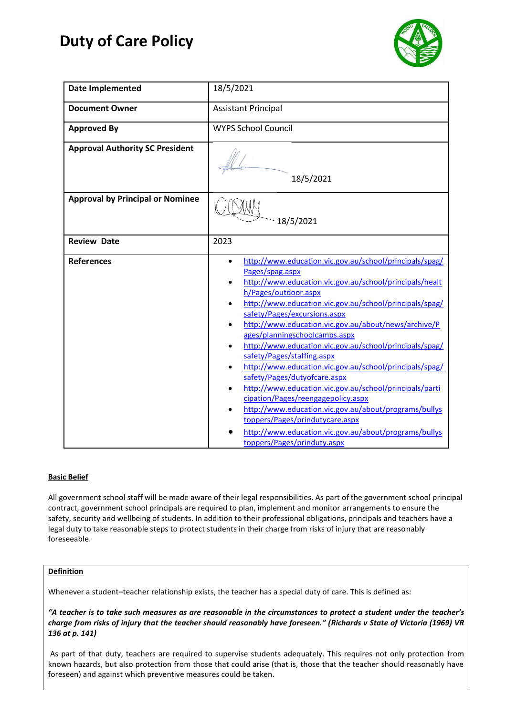# **Duty of Care Policy**



| <b>Date Implemented</b>                 | 18/5/2021                                                                                                                                                                                                                                                                                                                                                                                                                                                                                                                                                                                                                                                                                                                                                                                                                                                                                   |
|-----------------------------------------|---------------------------------------------------------------------------------------------------------------------------------------------------------------------------------------------------------------------------------------------------------------------------------------------------------------------------------------------------------------------------------------------------------------------------------------------------------------------------------------------------------------------------------------------------------------------------------------------------------------------------------------------------------------------------------------------------------------------------------------------------------------------------------------------------------------------------------------------------------------------------------------------|
| <b>Document Owner</b>                   | <b>Assistant Principal</b>                                                                                                                                                                                                                                                                                                                                                                                                                                                                                                                                                                                                                                                                                                                                                                                                                                                                  |
| <b>Approved By</b>                      | <b>WYPS School Council</b>                                                                                                                                                                                                                                                                                                                                                                                                                                                                                                                                                                                                                                                                                                                                                                                                                                                                  |
| <b>Approval Authority SC President</b>  | 18/5/2021                                                                                                                                                                                                                                                                                                                                                                                                                                                                                                                                                                                                                                                                                                                                                                                                                                                                                   |
| <b>Approval by Principal or Nominee</b> | 18/5/2021                                                                                                                                                                                                                                                                                                                                                                                                                                                                                                                                                                                                                                                                                                                                                                                                                                                                                   |
| <b>Review Date</b>                      | 2023                                                                                                                                                                                                                                                                                                                                                                                                                                                                                                                                                                                                                                                                                                                                                                                                                                                                                        |
| <b>References</b>                       | http://www.education.vic.gov.au/school/principals/spag/<br>$\bullet$<br>Pages/spag.aspx<br>http://www.education.vic.gov.au/school/principals/healt<br>$\bullet$<br>h/Pages/outdoor.aspx<br>http://www.education.vic.gov.au/school/principals/spag/<br>$\bullet$<br>safety/Pages/excursions.aspx<br>http://www.education.vic.gov.au/about/news/archive/P<br>ages/planningschoolcamps.aspx<br>http://www.education.vic.gov.au/school/principals/spag/<br>safety/Pages/staffing.aspx<br>http://www.education.vic.gov.au/school/principals/spag/<br>safety/Pages/dutyofcare.aspx<br>http://www.education.vic.gov.au/school/principals/parti<br>$\bullet$<br>cipation/Pages/reengagepolicy.aspx<br>http://www.education.vic.gov.au/about/programs/bullys<br>$\bullet$<br>toppers/Pages/prindutycare.aspx<br>http://www.education.vic.gov.au/about/programs/bullys<br>toppers/Pages/prinduty.aspx |

# **Basic Belief**

All government school staff will be made aware of their legal responsibilities. As part of the government school principal contract, government school principals are required to plan, implement and monitor arrangements to ensure the safety, security and wellbeing of students. In addition to their professional obligations, principals and teachers have a legal duty to take reasonable steps to protect students in their charge from risks of injury that are reasonably foreseeable.

# **Definition**

Whenever a student–teacher relationship exists, the teacher has a special duty of care. This is defined as:

*"A teacher is to take such measures as are reasonable in the circumstances to protect a student under the teacher's charge from risks of injury that the teacher should reasonably have foreseen." (Richards v State of Victoria (1969) VR 136 at p. 141)*

As part of that duty, teachers are required to supervise students adequately. This requires not only protection from known hazards, but also protection from those that could arise (that is, those that the teacher should reasonably have foreseen) and against which preventive measures could be taken.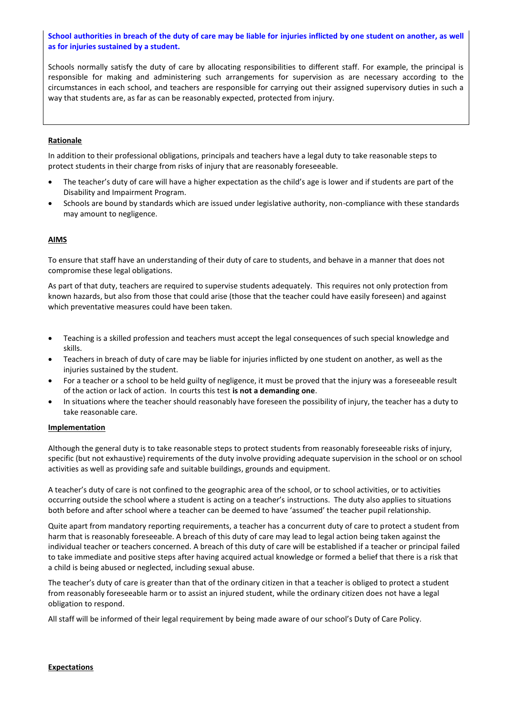## **School authorities in breach of the duty of care may be liable for injuries inflicted by one student on another, as well as for injuries sustained by a student.**

Schools normally satisfy the duty of care by allocating responsibilities to different staff. For example, the principal is responsible for making and administering such arrangements for supervision as are necessary according to the circumstances in each school, and teachers are responsible for carrying out their assigned supervisory duties in such a way that students are, as far as can be reasonably expected, protected from injury.

## **Rationale**

In addition to their professional obligations, principals and teachers have a legal duty to take reasonable steps to protect students in their charge from risks of injury that are reasonably foreseeable.

- The teacher's duty of care will have a higher expectation as the child's age is lower and if students are part of the Disability and Impairment Program.
- Schools are bound by standards which are issued under legislative authority, non-compliance with these standards may amount to negligence.

## **AIMS**

To ensure that staff have an understanding of their duty of care to students, and behave in a manner that does not compromise these legal obligations.

As part of that duty, teachers are required to supervise students adequately. This requires not only protection from known hazards, but also from those that could arise (those that the teacher could have easily foreseen) and against which preventative measures could have been taken.

- Teaching is a skilled profession and teachers must accept the legal consequences of such special knowledge and skills.
- Teachers in breach of duty of care may be liable for injuries inflicted by one student on another, as well as the injuries sustained by the student.
- For a teacher or a school to be held guilty of negligence, it must be proved that the injury was a foreseeable result of the action or lack of action. In courts this test **is not a demanding one**.
- In situations where the teacher should reasonably have foreseen the possibility of injury, the teacher has a duty to take reasonable care.

## **Implementation**

Although the general duty is to take reasonable steps to protect students from reasonably foreseeable risks of injury, specific (but not exhaustive) requirements of the duty involve providing adequate supervision in the school or on school activities as well as providing safe and suitable buildings, grounds and equipment.

A teacher's duty of care is not confined to the geographic area of the school, or to school activities, or to activities occurring outside the school where a student is acting on a teacher's instructions. The duty also applies to situations both before and after school where a teacher can be deemed to have 'assumed' the teacher pupil relationship.

Quite apart from mandatory reporting requirements, a teacher has a concurrent duty of care to protect a student from harm that is reasonably foreseeable. A breach of this duty of care may lead to legal action being taken against the individual teacher or teachers concerned. A breach of this duty of care will be established if a teacher or principal failed to take immediate and positive steps after having acquired actual knowledge or formed a belief that there is a risk that a child is being abused or neglected, including sexual abuse.

The teacher's duty of care is greater than that of the ordinary citizen in that a teacher is obliged to protect a student from reasonably foreseeable harm or to assist an injured student, while the ordinary citizen does not have a legal obligation to respond.

All staff will be informed of their legal requirement by being made aware of our school's Duty of Care Policy.

#### **Expectations**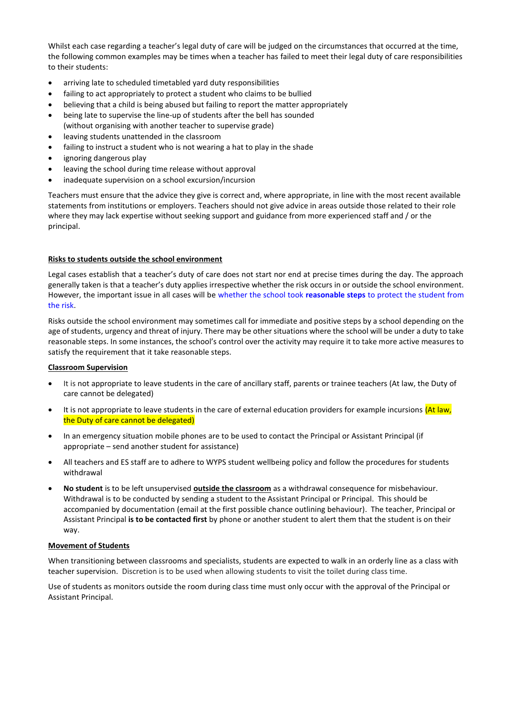Whilst each case regarding a teacher's legal duty of care will be judged on the circumstances that occurred at the time, the following common examples may be times when a teacher has failed to meet their legal duty of care responsibilities to their students:

- arriving late to scheduled timetabled yard duty responsibilities
- failing to act appropriately to protect a student who claims to be bullied
- believing that a child is being abused but failing to report the matter appropriately
- being late to supervise the line-up of students after the bell has sounded (without organising with another teacher to supervise grade)
- leaving students unattended in the classroom
- failing to instruct a student who is not wearing a hat to play in the shade
- ignoring dangerous play
- leaving the school during time release without approval
- inadequate supervision on a school excursion/incursion

Teachers must ensure that the advice they give is correct and, where appropriate, in line with the most recent available statements from institutions or employers. Teachers should not give advice in areas outside those related to their role where they may lack expertise without seeking support and guidance from more experienced staff and / or the principal.

## **Risks to students outside the school environment**

Legal cases establish that a teacher's duty of care does not start nor end at precise times during the day. The approach generally taken is that a teacher's duty applies irrespective whether the risk occurs in or outside the school environment. However, the important issue in all cases will be whether the school took **reasonable steps** to protect the student from the risk.

Risks outside the school environment may sometimes call for immediate and positive steps by a school depending on the age of students, urgency and threat of injury. There may be other situations where the school will be under a duty to take reasonable steps. In some instances, the school's control over the activity may require it to take more active measures to satisfy the requirement that it take reasonable steps.

## **Classroom Supervision**

- It is not appropriate to leave students in the care of ancillary staff, parents or trainee teachers (At law, the Duty of care cannot be delegated)
- It is not appropriate to leave students in the care of external education providers for example incursions (At law, the Duty of care cannot be delegated)
- In an emergency situation mobile phones are to be used to contact the Principal or Assistant Principal (if appropriate – send another student for assistance)
- All teachers and ES staff are to adhere to WYPS student wellbeing policy and follow the procedures for students withdrawal
- **No student** is to be left unsupervised **outside the classroom** as a withdrawal consequence for misbehaviour. Withdrawal is to be conducted by sending a student to the Assistant Principal or Principal. This should be accompanied by documentation (email at the first possible chance outlining behaviour). The teacher, Principal or Assistant Principal **is to be contacted first** by phone or another student to alert them that the student is on their way.

## **Movement of Students**

When transitioning between classrooms and specialists, students are expected to walk in an orderly line as a class with teacher supervision. Discretion is to be used when allowing students to visit the toilet during class time.

Use of students as monitors outside the room during class time must only occur with the approval of the Principal or Assistant Principal.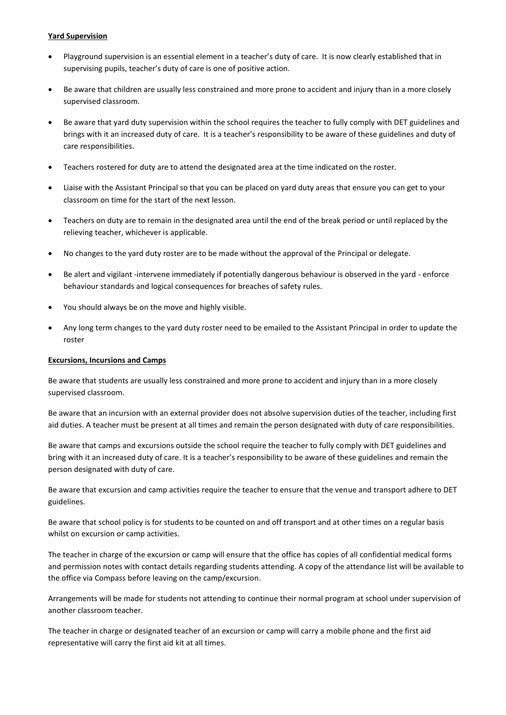## **Yard Supervision**

- Playground supervision is an essential element in a teacher's duty of care. It is now clearly established that in supervising pupils, teacher's duty of care is one of positive action.
- Be aware that children are usually less constrained and more prone to accident and injury than in a more closely supervised classroom.
- Be aware that yard duty supervision within the school requires the teacher to fully comply with DET guidelines and brings with it an increased duty of care. It is a teacher's responsibility to be aware of these guidelines and duty of care responsibilities.
- Teachers rostered for duty are to attend the designated area at the time indicated on the roster.
- Liaise with the Assistant Principal so that you can be placed on yard duty areas that ensure you can get to your classroom on time for the start of the next lesson.
- Teachers on duty are to remain in the designated area until the end of the break period or until replaced by the relieving teacher, whichever is applicable.
- No changes to the yard duty roster are to be made without the approval of the Principal or delegate.
- Be alert and vigilant -intervene immediately if potentially dangerous behaviour is observed in the yard enforce behaviour standards and logical consequences for breaches of safety rules.
- You should always be on the move and highly visible.
- Any long term changes to the yard duty roster need to be emailed to the Assistant Principal in order to update the roster

## **Excursions, Incursions and Camps**

Be aware that students are usually less constrained and more prone to accident and injury than in a more closely supervised classroom.

Be aware that an incursion with an external provider does not absolve supervision duties of the teacher, including first aid duties. A teacher must be present at all times and remain the person designated with duty of care responsibilities.

Be aware that camps and excursions outside the school require the teacher to fully comply with DET guidelines and bring with it an increased duty of care. It is a teacher's responsibility to be aware of these guidelines and remain the person designated with duty of care.

Be aware that excursion and camp activities require the teacher to ensure that the venue and transport adhere to DET guidelines.

Be aware that school policy is for students to be counted on and off transport and at other times on a regular basis whilst on excursion or camp activities.

The teacher in charge of the excursion or camp will ensure that the office has copies of all confidential medical forms and permission notes with contact details regarding students attending. A copy of the attendance list will be available to the office via Compass before leaving on the camp/excursion.

Arrangements will be made for students not attending to continue their normal program at school under supervision of another classroom teacher.

The teacher in charge or designated teacher of an excursion or camp will carry a mobile phone and the first aid representative will carry the first aid kit at all times.